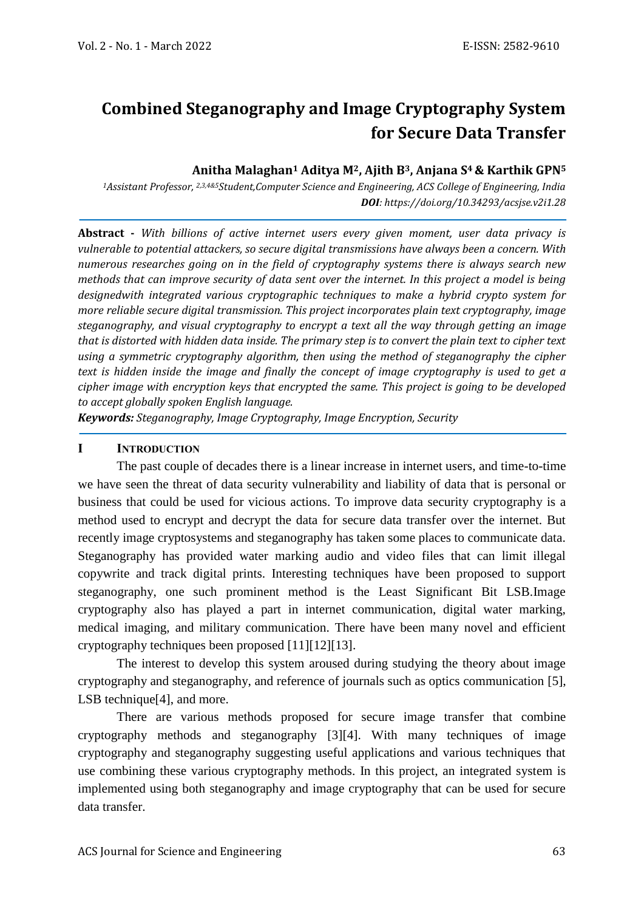# **Combined Steganography and Image Cryptography System for Secure Data Transfer**

#### **Anitha Malaghan<sup>1</sup> Aditya M2, Ajith B3, Anjana S<sup>4</sup> & Karthik GPN<sup>5</sup>**

*<sup>1</sup>Assistant Professor, 2,3,4&5Student,Computer Science and Engineering, ACS College of Engineering, India DOI: https://doi.org/10.34293/acsjse.v2i1.28*

**Abstract -** *With billions of active internet users every given moment, user data privacy is vulnerable to potential attackers, so secure digital transmissions have always been a concern. With numerous researches going on in the field of cryptography systems there is always search new methods that can improve security of data sent over the internet. In this project a model is being designedwith integrated various cryptographic techniques to make a hybrid crypto system for more reliable secure digital transmission. This project incorporates plain text cryptography, image steganography, and visual cryptography to encrypt a text all the way through getting an image that is distorted with hidden data inside. The primary step is to convert the plain text to cipher text using a symmetric cryptography algorithm, then using the method of steganography the cipher text is hidden inside the image and finally the concept of image cryptography is used to get a cipher image with encryption keys that encrypted the same. This project is going to be developed to accept globally spoken English language.*

*Keywords: Steganography, Image Cryptography, Image Encryption, Security*

#### **I INTRODUCTION**

The past couple of decades there is a linear increase in internet users, and time-to-time we have seen the threat of data security vulnerability and liability of data that is personal or business that could be used for vicious actions. To improve data security cryptography is a method used to encrypt and decrypt the data for secure data transfer over the internet. But recently image cryptosystems and steganography has taken some places to communicate data. Steganography has provided water marking audio and video files that can limit illegal copywrite and track digital prints. Interesting techniques have been proposed to support steganography, one such prominent method is the Least Significant Bit LSB.Image cryptography also has played a part in internet communication, digital water marking, medical imaging, and military communication. There have been many novel and efficient cryptography techniques been proposed [\[11\]\[12\]](#page-9-0)[\[13\].](#page-9-1)

The interest to develop this system aroused during studying the theory about image cryptography and steganography, and reference of journals such as optics communication [\[5\],](#page-9-2) LSB technique<sup>[4]</sup>, and more.

There are various methods proposed for secure image transfer that combine cryptography methods and steganography [\[3\]\[4\].](#page-8-1) With many techniques of image cryptography and steganography suggesting useful applications and various techniques that use combining these various cryptography methods. In this project, an integrated system is implemented using both steganography and image cryptography that can be used for secure data transfer.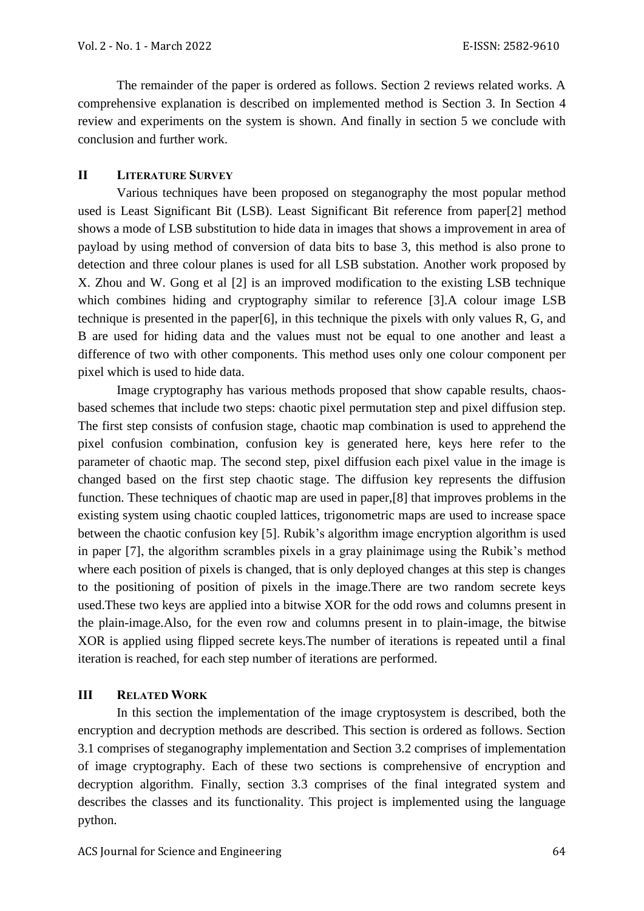The remainder of the paper is ordered as follows. Section 2 reviews related works. A comprehensive explanation is described on implemented method is Section 3. In Section 4 review and experiments on the system is shown. And finally in section 5 we conclude with conclusion and further work.

#### **II LITERATURE SURVEY**

Various techniques have been proposed on steganography the most popular method used is Least Significant Bit (LSB). Least Significant Bit reference from pape[r\[2\]](#page-8-2) method shows a mode of LSB substitution to hide data in images that shows a improvement in area of payload by using method of conversion of data bits to base 3, this method is also prone to detection and three colour planes is used for all LSB substation. Another work proposed by X. Zhou and W. Gong et al [\[2\]](#page-8-2) is an improved modification to the existing LSB technique which combines hiding and cryptography similar to reference [\[3\].](#page-8-1)A colour image LSB technique is presented in the pape[r\[6\],](#page-9-3) in this technique the pixels with only values R, G, and B are used for hiding data and the values must not be equal to one another and least a difference of two with other components. This method uses only one colour component per pixel which is used to hide data.

Image cryptography has various methods proposed that show capable results, chaosbased schemes that include two steps: chaotic pixel permutation step and pixel diffusion step. The first step consists of confusion stage, chaotic map combination is used to apprehend the pixel confusion combination, confusion key is generated here, keys here refer to the parameter of chaotic map. The second step, pixel diffusion each pixel value in the image is changed based on the first step chaotic stage. The diffusion key represents the diffusion function. These techniques of chaotic map are used in paper[,\[8\]](#page-9-4) that improves problems in the existing system using chaotic coupled lattices, trigonometric maps are used to increase space between the chaotic confusion key [\[5\].](#page-9-2) Rubik's algorithm image encryption algorithm is used in paper [\[7\],](#page-9-5) the algorithm scrambles pixels in a gray plainimage using the Rubik's method where each position of pixels is changed, that is only deployed changes at this step is changes to the positioning of position of pixels in the image.There are two random secrete keys used.These two keys are applied into a bitwise XOR for the odd rows and columns present in the plain-image.Also, for the even row and columns present in to plain-image, the bitwise XOR is applied using flipped secrete keys.The number of iterations is repeated until a final iteration is reached, for each step number of iterations are performed.

#### **III RELATED WORK**

In this section the implementation of the image cryptosystem is described, both the encryption and decryption methods are described. This section is ordered as follows. Section 3.1 comprises of steganography implementation and Section 3.2 comprises of implementation of image cryptography. Each of these two sections is comprehensive of encryption and decryption algorithm. Finally, section 3.3 comprises of the final integrated system and describes the classes and its functionality. This project is implemented using the language python.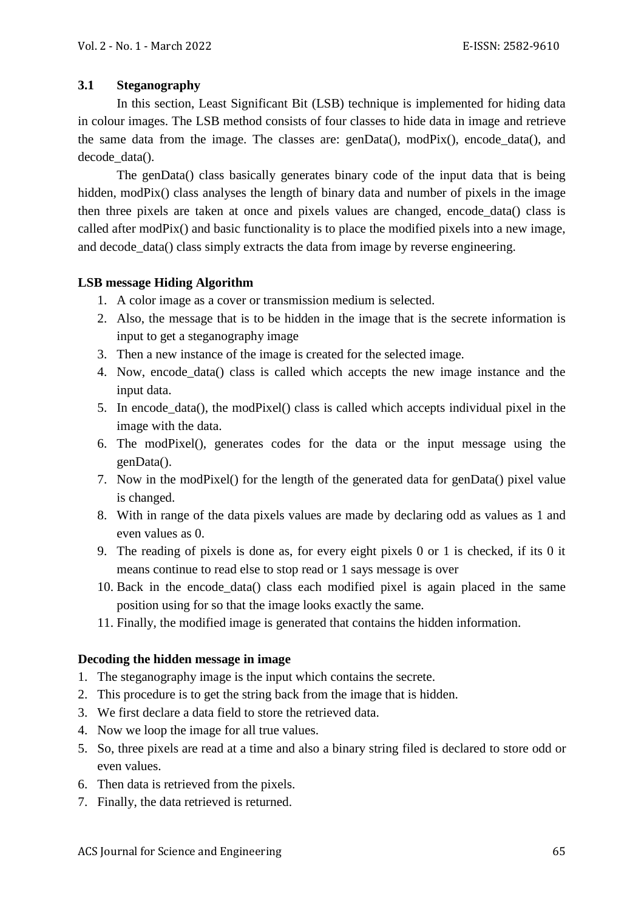#### **3.1 Steganography**

In this section, Least Significant Bit (LSB) technique is implemented for hiding data in colour images. The LSB method consists of four classes to hide data in image and retrieve the same data from the image. The classes are: genData(), modPix(), encode\_data(), and decode\_data().

The genData() class basically generates binary code of the input data that is being hidden, modPix() class analyses the length of binary data and number of pixels in the image then three pixels are taken at once and pixels values are changed, encode\_data() class is called after modPix() and basic functionality is to place the modified pixels into a new image, and decode data() class simply extracts the data from image by reverse engineering.

## **LSB message Hiding Algorithm**

- 1. A color image as a cover or transmission medium is selected.
- 2. Also, the message that is to be hidden in the image that is the secrete information is input to get a steganography image
- 3. Then a new instance of the image is created for the selected image.
- 4. Now, encode\_data() class is called which accepts the new image instance and the input data.
- 5. In encode\_data(), the modPixel() class is called which accepts individual pixel in the image with the data.
- 6. The modPixel(), generates codes for the data or the input message using the genData().
- 7. Now in the modPixel() for the length of the generated data for genData() pixel value is changed.
- 8. With in range of the data pixels values are made by declaring odd as values as 1 and even values as 0.
- 9. The reading of pixels is done as, for every eight pixels 0 or 1 is checked, if its 0 it means continue to read else to stop read or 1 says message is over
- 10. Back in the encode\_data() class each modified pixel is again placed in the same position using for so that the image looks exactly the same.
- 11. Finally, the modified image is generated that contains the hidden information.

#### **Decoding the hidden message in image**

- 1. The steganography image is the input which contains the secrete.
- 2. This procedure is to get the string back from the image that is hidden.
- 3. We first declare a data field to store the retrieved data.
- 4. Now we loop the image for all true values.
- 5. So, three pixels are read at a time and also a binary string filed is declared to store odd or even values.
- 6. Then data is retrieved from the pixels.
- 7. Finally, the data retrieved is returned.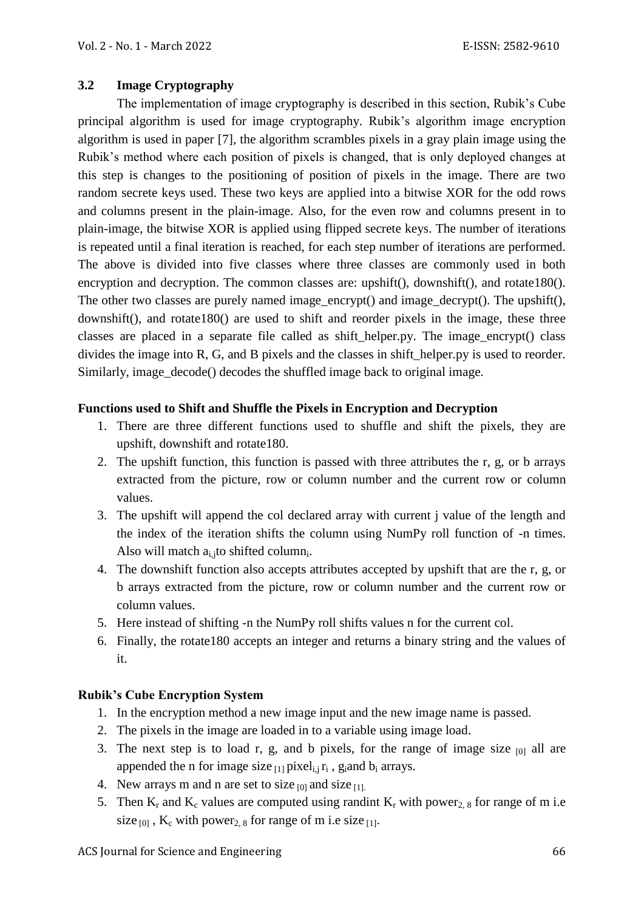## **3.2 Image Cryptography**

The implementation of image cryptography is described in this section, Rubik's Cube principal algorithm is used for image cryptography. Rubik's algorithm image encryption algorithm is used in paper [\[7\],](#page-9-5) the algorithm scrambles pixels in a gray plain image using the Rubik's method where each position of pixels is changed, that is only deployed changes at this step is changes to the positioning of position of pixels in the image. There are two random secrete keys used. These two keys are applied into a bitwise XOR for the odd rows and columns present in the plain-image. Also, for the even row and columns present in to plain-image, the bitwise XOR is applied using flipped secrete keys. The number of iterations is repeated until a final iteration is reached, for each step number of iterations are performed. The above is divided into five classes where three classes are commonly used in both encryption and decryption. The common classes are: upshift(), downshift(), and rotate180(). The other two classes are purely named image\_encrypt() and image\_decrypt(). The upshift(), downshift(), and rotate180() are used to shift and reorder pixels in the image, these three classes are placed in a separate file called as shift\_helper.py. The image\_encrypt() class divides the image into R, G, and B pixels and the classes in shift helper.py is used to reorder. Similarly, image\_decode() decodes the shuffled image back to original image.

## **Functions used to Shift and Shuffle the Pixels in Encryption and Decryption**

- 1. There are three different functions used to shuffle and shift the pixels, they are upshift, downshift and rotate180.
- 2. The upshift function, this function is passed with three attributes the r, g, or b arrays extracted from the picture, row or column number and the current row or column values.
- 3. The upshift will append the col declared array with current j value of the length and the index of the iteration shifts the column using NumPy roll function of -n times. Also will match  $a_{i,j}$ to shifted column<sub>i</sub>.
- 4. The downshift function also accepts attributes accepted by upshift that are the r, g, or b arrays extracted from the picture, row or column number and the current row or column values.
- 5. Here instead of shifting -n the NumPy roll shifts values n for the current col.
- 6. Finally, the rotate180 accepts an integer and returns a binary string and the values of it.

## **Rubik's Cube Encryption System**

- 1. In the encryption method a new image input and the new image name is passed.
- 2. The pixels in the image are loaded in to a variable using image load.
- 3. The next step is to load r, g, and b pixels, for the range of image size  $_{[0]}$  all are appended the n for image size  $_{[1]}$  pixel<sub>i,j</sub>  $r_i$ , g<sub>i</sub>and  $b_i$  arrays.
- 4. New arrays m and n are set to size  $_{[0]}$  and size  $_{[1]}$ .
- 5. Then  $K_r$  and  $K_c$  values are computed using randint  $K_r$  with power<sub>2, 8</sub> for range of m i.e size  $_{[0]}$ , K<sub>c</sub> with power<sub>2, 8</sub> for range of m i.e size  $_{[1]}$ .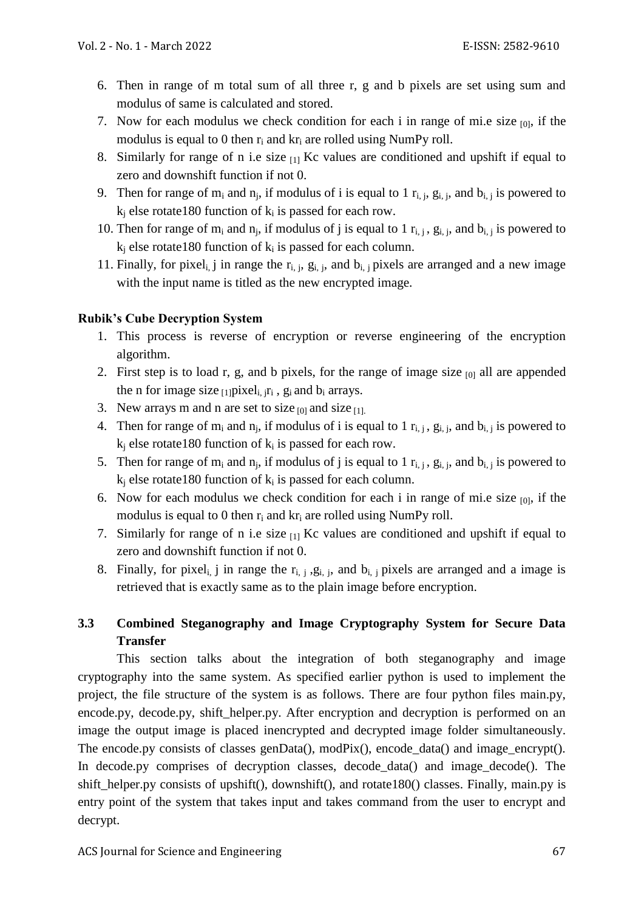- 6. Then in range of m total sum of all three r, g and b pixels are set using sum and modulus of same is calculated and stored.
- 7. Now for each modulus we check condition for each i in range of mi.e size  $_{[0]}$ , if the modulus is equal to 0 then  $r_i$  and  $kr_i$  are rolled using NumPy roll.
- 8. Similarly for range of n i.e size  $_{11}$  Kc values are conditioned and upshift if equal to zero and downshift function if not 0.
- 9. Then for range of  $m_i$  and  $n_j$ , if modulus of i is equal to 1  $r_{i,j}$ ,  $g_{i,j}$ , and  $b_{i,j}$  is powered to  $k_i$  else rotate180 function of  $k_i$  is passed for each row.
- 10. Then for range of  $m_i$  and  $n_j$ , if modulus of j is equal to 1  $r_{i,j}$ ,  $g_{i,j}$ , and  $b_{i,j}$  is powered to  $k_i$  else rotate180 function of  $k_i$  is passed for each column.
- 11. Finally, for pixel<sub>i</sub>, j in range the  $r_{i, j}$ ,  $g_{i, j}$ , and  $b_{i, j}$  pixels are arranged and a new image with the input name is titled as the new encrypted image.

## **Rubik's Cube Decryption System**

- 1. This process is reverse of encryption or reverse engineering of the encryption algorithm.
- 2. First step is to load r, g, and b pixels, for the range of image size  $[0]$  all are appended the n for image size  $_{[1]}$  pixel<sub>i, jri</sub>,  $g_i$  and  $b_i$  arrays.
- 3. New arrays m and n are set to size  $_{[0]}$  and size  $_{[1]}$ .
- 4. Then for range of  $m_i$  and  $n_j$ , if modulus of i is equal to 1  $r_{i,j}$ ,  $g_{i,j}$ , and  $b_{i,j}$  is powered to  $k_i$  else rotate180 function of  $k_i$  is passed for each row.
- 5. Then for range of  $m_i$  and  $n_j$ , if modulus of j is equal to 1  $r_{i,j}$ ,  $g_{i,j}$ , and  $b_{i,j}$  is powered to  $k_i$  else rotate180 function of  $k_i$  is passed for each column.
- 6. Now for each modulus we check condition for each i in range of mi.e size  $_{[0]}$ , if the modulus is equal to 0 then  $r_i$  and  $kr_i$  are rolled using NumPy roll.
- 7. Similarly for range of n i.e size  $_{11}$  Kc values are conditioned and upshift if equal to zero and downshift function if not 0.
- 8. Finally, for pixel<sub>i,</sub> j in range the  $r_{i, j}$ ,  $g_{i, j}$ , and  $b_{i, j}$  pixels are arranged and a image is retrieved that is exactly same as to the plain image before encryption.

## **3.3 Combined Steganography and Image Cryptography System for Secure Data Transfer**

This section talks about the integration of both steganography and image cryptography into the same system. As specified earlier python is used to implement the project, the file structure of the system is as follows. There are four python files main.py, encode.py, decode.py, shift\_helper.py. After encryption and decryption is performed on an image the output image is placed inencrypted and decrypted image folder simultaneously. The encode.py consists of classes genData(), modPix(), encode\_data() and image\_encrypt(). In decode.py comprises of decryption classes, decode data() and image decode(). The shift\_helper.py consists of upshift(), downshift(), and rotate180() classes. Finally, main.py is entry point of the system that takes input and takes command from the user to encrypt and decrypt.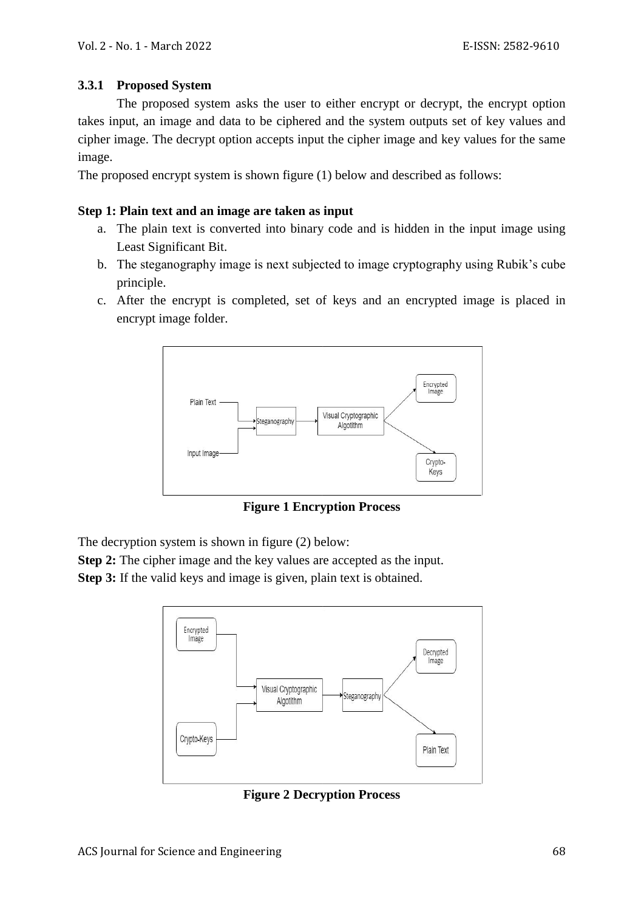### **3.3.1 Proposed System**

The proposed system asks the user to either encrypt or decrypt, the encrypt option takes input, an image and data to be ciphered and the system outputs set of key values and cipher image. The decrypt option accepts input the cipher image and key values for the same image.

The proposed encrypt system is shown figure (1) below and described as follows:

#### **Step 1: Plain text and an image are taken as input**

- a. The plain text is converted into binary code and is hidden in the input image using Least Significant Bit.
- b. The steganography image is next subjected to image cryptography using Rubik's cube principle.
- c. After the encrypt is completed, set of keys and an encrypted image is placed in encrypt image folder.



**Figure 1 Encryption Process**

The decryption system is shown in figure (2) below:

**Step 2:** The cipher image and the key values are accepted as the input. **Step 3:** If the valid keys and image is given, plain text is obtained.



**Figure 2 Decryption Process**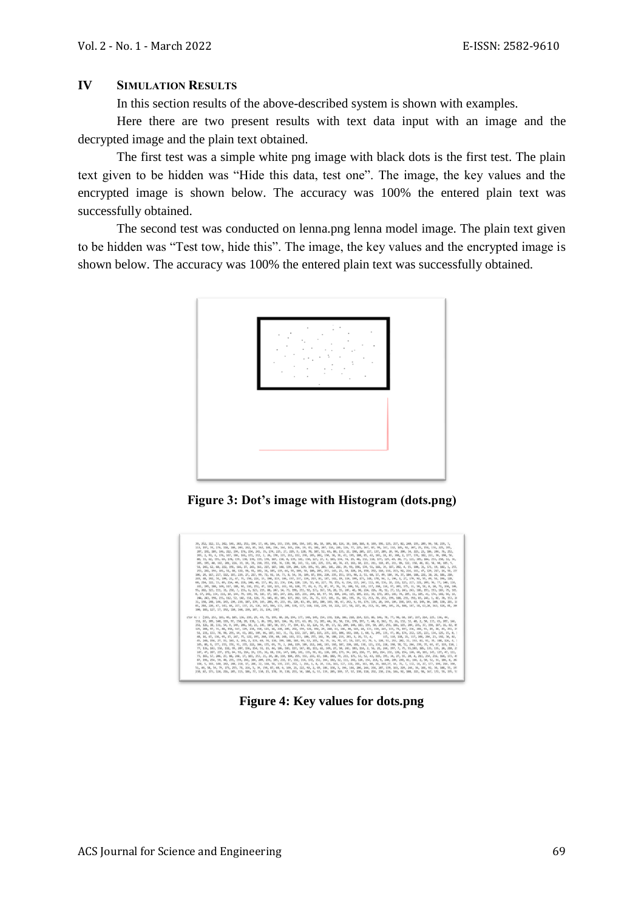#### **IV SIMULATION RESULTS**

In this section results of the above-described system is shown with examples.

Here there are two present results with text data input with an image and the decrypted image and the plain text obtained.

The first test was a simple white png image with black dots is the first test. The plain text given to be hidden was "Hide this data, test one". The image, the key values and the encrypted image is shown below. The accuracy was 100% the entered plain text was successfully obtained.

The second test was conducted on lenna.png lenna model image. The plain text given to be hidden was "Test tow, hide this". The image, the key values and the encrypted image is shown below. The accuracy was 100% the entered plain text was successfully obtained.



**Figure 3: Dot's image with Histogram (dots.png)**

| 39, 252, 112, 13, 242, 146, 202, 252, 194, 17, 44, 144, 103, 159, 194, 194, 142, 06, 10, 109, 08, 124, 38, 100, 100, 08, 0, 195, 197, 02, 240, 195, 209, 96, 58, 239, 7,<br>113, 197, 74, 176, 118, 180, 203, 242, 85, 162, 144, 156, 164, 145, 216, 19, 43, 181, 207, 114, 226, 126, 77, 225, 167, 87, 99, 167, 112, 105, 92, 207, 25, 158, 174, 225, 195, |  |
|-------------------------------------------------------------------------------------------------------------------------------------------------------------------------------------------------------------------------------------------------------------------------------------------------------------------------------------------------------------|--|
|                                                                                                                                                                                                                                                                                                                                                             |  |
|                                                                                                                                                                                                                                                                                                                                                             |  |
|                                                                                                                                                                                                                                                                                                                                                             |  |
| 207, 191, 189, 146, 222, 194, 176, 214, 241, 35, 174, 225, 27, 229, 9, 128, 70, 107, 52, 65, 80, 135, 22, 190, 205, 227, 137, 209, 20, 94, 206, 34, 223, 23, 186, 244, 76, 252,                                                                                                                                                                             |  |
| 203, 2, 93, 6, 176, 167, 184, 166, 171, 212, 2, 26, 170, 123, 211, 112, 230, 283, 283, 150, 150, 161, 151, 188, 85, 42, 183, 28, 83, 204, 2, 177, 174, 182, 221, 30, 198, 56,                                                                                                                                                                               |  |
| 80, 33, 62, 195, 69, 178, 159, 138, 170, 119, 170, 187, 238, 0, 139, 181, 130, 127, 27, 8, 183, 174, 74, 29, 48, 132, 118, 177, 129, 49, 20, 77, 121, 205, 184, 253, 250, 12, 36,                                                                                                                                                                           |  |
| 205, 195, 40, 162, 201, 226, 33, 19, 74, 210, 253, 75, 158, 76, 120, 90, 243, 52, 126, 225, 205, 225, 40, 76, 43, 162, 60, 221, 211, 212, 158, 85, 211, 89, 122, 158, 46, 82, 58, 90, 185, 5,                                                                                                                                                               |  |
| 51, 243, 63, 68, 222, 191, 166, 27, 243, 161, 227, 187, 148, 139, 204, 129, 195, 93, 201, 141, 216, 39, 93, 194, 174, 51, 166, 39, 187, 202, 4, 15, 100, 31, 171, 19, 182, 1, 255,                                                                                                                                                                          |  |
| 253, 241, 194, 101, 51, 88, 122, 90, 91, 182, 34, 185, 119, 66, 59, 100, 50, 180, 205, 253, 143, 21, 30, 220, 24, 150, 252, 110, 116, 213, 92, 216, 161, 47, 120, 217, 14, 50, 230                                                                                                                                                                          |  |
| 106, 29, 167, 217, 112, 109, 279, 27, 217, 99, 72, 91, 14, 73, 8, 54, 30, 189, 87, 194, 220, 235, 153, 193, 90, 2, 51, 60, 17, 49, 184, 34, 37, 184, 188, 221, 38, 28, 186, 210,                                                                                                                                                                            |  |
| 243, 40, 192, 74, 109, 22, 47, 71, 150, 224, 15, 198, 113, 106, 157, 137, 119, 213, 81, 107, 142, 19, 110, 199, 173, 148, 170, 94, 1, 196, 1, 27, 179, 92, 55, 49, 51, 196, 128,                                                                                                                                                                            |  |
| 60, 214, 122, 33, 89, 214, 40, 228, 148, 48, 157, 86, 22, 236, 154, 128, 128, 52, 66, 227, 78, 155, 0, 214, 117, 247, 112, 60, 136, 18, 216, 125, 217, 221, 209, 96, 77, 140, 110,                                                                                                                                                                          |  |
| 221, 195, 180, 149, 117, 188, 92, 116, 152, 47, 124, 121, 222, 92, 128, 77, 43, 6, 75, 87, 97, 76, 74, 189, 53, 221, 117, 210, 124, 97, 203, 175, 31, 59, 51, 8, 10, 71, 130, 106,                                                                                                                                                                          |  |
| 95, 202, 123, 111, 31, 250, 7, 235, 6, 123, 219, 88, 247, 14, 73, 190, 251, 92, 173, 167, 59, 28, 55, 207, 42, 98, 224, 226, 70, 92, 27, 12, 243, 243, 186, 193, 193, 107, 79, 101                                                                                                                                                                          |  |
| 8, 67, 242, 134, 211, 18, 144, 79, 199, 78, 183, 17, 183, 247, 226, 225, 231, 244, 10, 97, 54, 104, 246, 115, 105, 211, 36, 173, 203, 12, 74, 205, 11, 185, 41, 174, 102, 96, 10,                                                                                                                                                                           |  |
| 244, 243, 198, 235, 112, 52, 142, 151, 128, 72, 145, 81, 189, 127, 202, 125, 76, 75, 137, 101, 15, 181, 195, 39, 59, 253, 203, 20, 251, 199, 188, 211, 192, 83, 241, 1, 82, 70, 153, 26                                                                                                                                                                     |  |
| 31, 158, 248, 146, 143, 236, 239, 187, 179, 185, 209, 45, 233, 65, 126, 83, 85, 103, 180, 140, 104, 67, 242, 5, 93, 175, 135, 20, 144, 164, 158, 143, 63, 140, 86, 180, 130, 201, 11                                                                                                                                                                        |  |
| 81, 210, 220, 47, 143, 84, 227, 137, 21, 126, 167, 104, 133, 201, 130, 137, 168, 118, 220, 14, 222, 237, 58, 227, 86, 212, 56, 109, 105, 21, 188, 187, 18, 63, 28, 163, 163, 184, 81, 200                                                                                                                                                                   |  |
| 100, 102, 127, 17, 152, 110, 168, 239, 107, 21, 134, 178]                                                                                                                                                                                                                                                                                                   |  |
| ctor Kc : [193, 253, 183, 49, 185, 136, 239, 29, 49, 71, 199, 88, 20, 194, 177, 140, 140, 140, 124, 231, 118, 186, 210, 214, 123, 86, 146, 70, 77, 98, 68, 187, 237, 214, 225, 136, 44,                                                                                                                                                                     |  |
| 151, 87, 109, 140, 119, 97, 158, 20, 138, 3, 86, 191, 165, 184, 30, 171, 63, 89, 33, 201, 44, 36, 58, 150, 170, 397, 7, 44, 0, 162, 72, 26, 132, 32, 48, 2, 50, 133, 65, 207, 146,                                                                                                                                                                          |  |
| 251, 126, 38, 131, 54, 9, 149, 206, 50, 21, 141, 187, 58, 157, 77, 194, 83, 32, 124, 54, 89, 17, 32, 209, 144, 183, 159, 50, 207, 255, 186, 105, 204, 215, 37, 190, 187, 16, 82, 80                                                                                                                                                                         |  |
| 125, 204, 97, 31, 88, 150, 167, 129, 234, 158, 121, 18, 228, 205, 252, 159, 121, 192, 29, 288, 61, 180, 80, 165, 68, 133, 139, 285, 133, 72, 197, 236, 292, 91, 89, 28, 43, 251, 25                                                                                                                                                                         |  |
| 51, 231, 133, 78, 90, 255, 64, 43, 203, 109, 86, 187, 163, 31, 72, 132, 227, 187, 115, 235, 225, 230, 108, 102, 160, 1, 68, 5, 245, 135, 47, 86, 174, 212, 123, 123, 124, 125, 15, 8, 1                                                                                                                                                                     |  |
| 48, 16, 67, 136, 95, 15, 247, 75, 122, 195, 240, 159, 60, 240, 163, 113, 180, 255, 161, 70, 180, 219, 203, 3, 26, 53, 4, 115, 110, 118, 21, 117, 246, 204, 23, 192, 30, 82,                                                                                                                                                                                 |  |
| 45, 240, 156, 37, 93, 169, 8, 249, 2, 174, 69, 74, 130, 199, 188, 184, 99, 53, 215, 76, 35, 16, 79, 47, 19, 117, 97, 79, 5, 128, 51, 253, 202, 31, 153, 93, 91, 38, 120, 4, 7                                                                                                                                                                               |  |
| 105, 80, 9, 177, 233, 156, 91, 235, 222, 104, 155, 69, 79, 2, 244, 119, 189, 212, 248, 103, 160, 187, 220, 181, 110, 121, 131, 228, 198, 58, 52, 204, 239, 35, 69, 67, 119, 1                                                                                                                                                                               |  |
| 77, 136, 143, 158, 152, 99, 207, 136, 154, 51, 23, 44, 186, 185, 117, 147, 81, 111, 61, 149, 27, 50, 241, 103, 114, 2, 56, 21, 244, 107, 7, 75, 55,103, 185, 135, 135, 20, 218, 21                                                                                                                                                                          |  |
| 187, 47, 207, 237, 172, 84, 92, 214, 19, 135, 36, 68, 158, 147, 100, 101, 135, 96, 81, 128, 209, 179, 94, 243, 210, 273, 270, 77, 103, 214, 212, 120, 154, 168, 60, 101, 145, 127, 47, 111,                                                                                                                                                                 |  |
| 73, 165, 57, 206, 27, 88, 248, 17, 181, 253, 21, 24, 28, 110, 184, 255, 151, 233, 83, 188, 182, 74, 211, 175, 53, 52, 43, 115, 195, 34, 27, 55, 20, 4, 213, 254, 216, 164, 173, 49                                                                                                                                                                          |  |
| 87, 196, 254, 59, 40, 255, 159, 242, 184, 209, 235, 185, 218, 17, 132, 114, 172, 152, 164, 182, 12, 111, 242, 126, 154, 218, 9, 240, 249, 230, 81, 166, 2, 50, 52, 135, 8, 260                                                                                                                                                                              |  |
| 198, 5, 169, 140, 242, 240, 210, 17, 206, 32, 168, 58, 119, 237, 253, 3, 216, 1, 8, 24, 116, 161, 127, 222, 211, 161, 80, 21, 160, 37, 14, 71, 7, 132, 14, 27, 177, 199, 214, 190,                                                                                                                                                                          |  |
| 51, 49, 58, 59, 79, 173, 255, 76, 216, 5, 39, 159, 87, 68, 6, 169, 23, 22, 92, 2, 69, 186, 158, 3, 194, 144, 204, 204, 202, 139, 163, 229, 246, 34, 166, 92, 36, 188, 55, 189                                                                                                                                                                               |  |
| 238. 87. 173. 124. 216. 245. 115. 186. 77. 130. 23. 178. 39. 138. 253. 54. 184. 6. 53. 139. 265. 149. 37. 130. 118. 252. 230. 236. 146. 92. 108. 222. 98. 167. 172. 59. 195. 51                                                                                                                                                                             |  |
|                                                                                                                                                                                                                                                                                                                                                             |  |

**Figure 4: Key values for dots.png**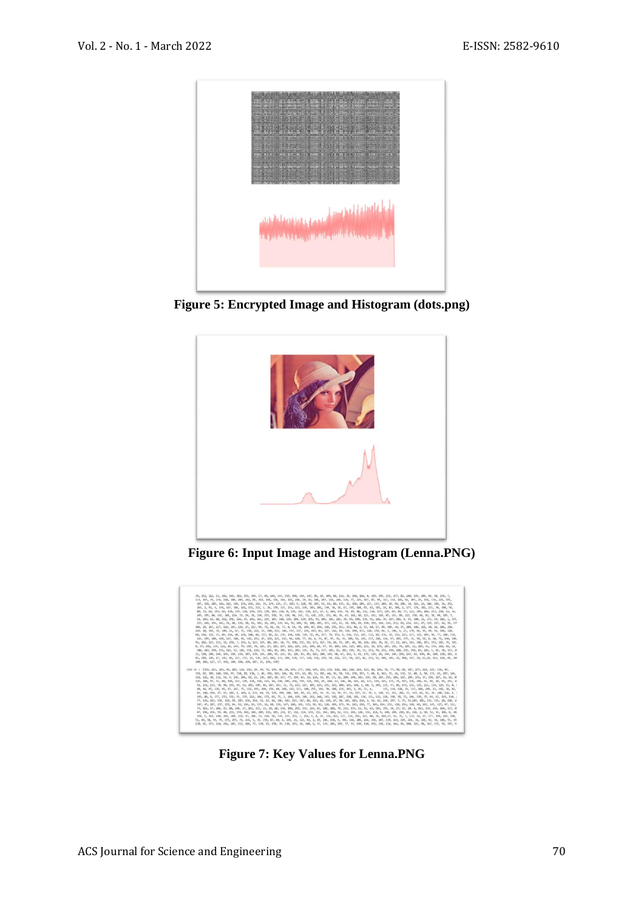

**Figure 5: Encrypted Image and Histogram (dots.png)**



**Figure 6: Input Image and Histogram (Lenna.PNG)**



**Figure 7: Key Values for Lenna.PNG**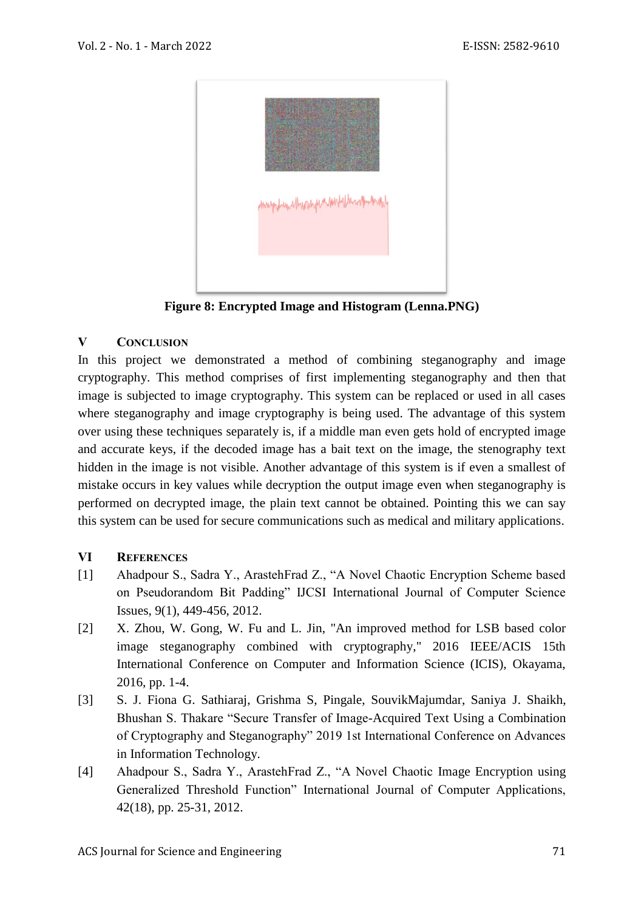

**Figure 8: Encrypted Image and Histogram (Lenna.PNG)**

## **V CONCLUSION**

In this project we demonstrated a method of combining steganography and image cryptography. This method comprises of first implementing steganography and then that image is subjected to image cryptography. This system can be replaced or used in all cases where steganography and image cryptography is being used. The advantage of this system over using these techniques separately is, if a middle man even gets hold of encrypted image and accurate keys, if the decoded image has a bait text on the image, the stenography text hidden in the image is not visible. Another advantage of this system is if even a smallest of mistake occurs in key values while decryption the output image even when steganography is performed on decrypted image, the plain text cannot be obtained. Pointing this we can say this system can be used for secure communications such as medical and military applications.

#### **VI REFERENCES**

- [1] Ahadpour S., Sadra Y., ArastehFrad Z., "A Novel Chaotic Encryption Scheme based on Pseudorandom Bit Padding" IJCSI International Journal of Computer Science Issues, 9(1), 449-456, 2012.
- <span id="page-8-2"></span>[2] X. Zhou, W. Gong, W. Fu and L. Jin, "An improved method for LSB based color image steganography combined with cryptography," 2016 IEEE/ACIS 15th International Conference on Computer and Information Science (ICIS), Okayama, 2016, pp. 1-4.
- <span id="page-8-1"></span>[3] S. J. Fiona G. Sathiaraj, Grishma S, Pingale, SouvikMajumdar, Saniya J. Shaikh, Bhushan S. Thakare "Secure Transfer of Image-Acquired Text Using a Combination of Cryptography and Steganography" 2019 1st International Conference on Advances in Information Technology.
- <span id="page-8-0"></span>[4] Ahadpour S., Sadra Y., ArastehFrad Z., "A Novel Chaotic Image Encryption using Generalized Threshold Function" International Journal of Computer Applications, 42(18), pp. 25-31, 2012.